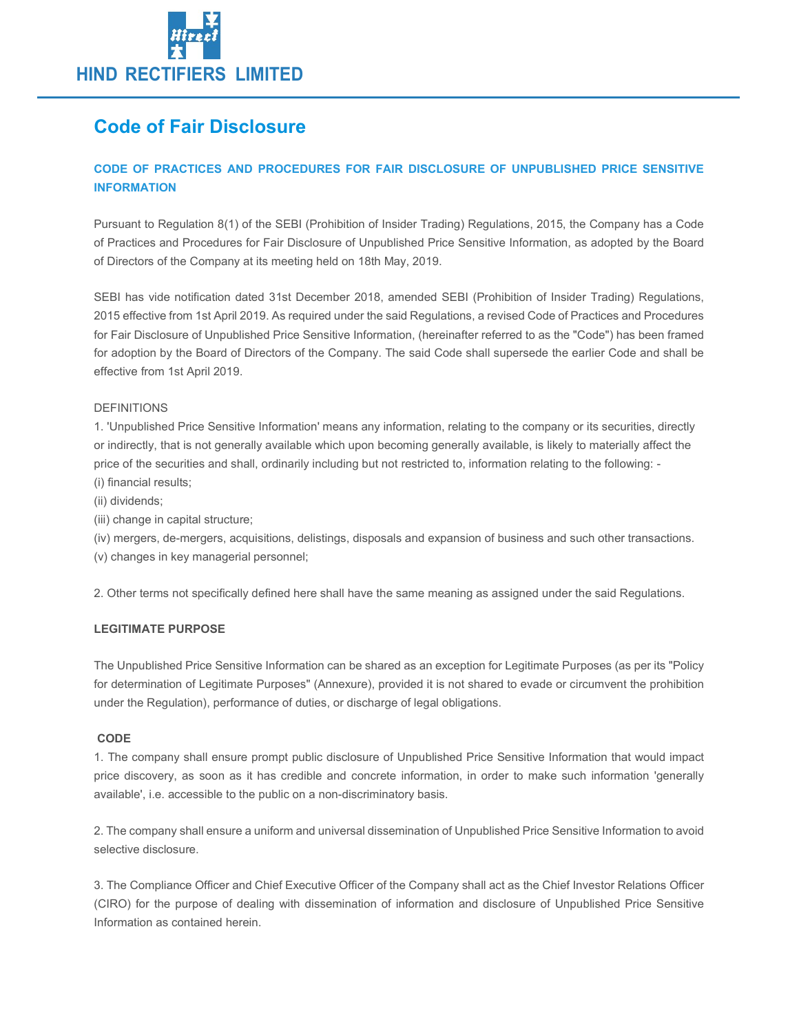

# Code of Fair Disclosure

### CODE OF PRACTICES AND PROCEDURES FOR FAIR DISCLOSURE OF UNPUBLISHED PRICE SENSITIVE INFORMATION

Pursuant to Regulation 8(1) of the SEBI (Prohibition of Insider Trading) Regulations, 2015, the Company has a Code of Practices and Procedures for Fair Disclosure of Unpublished Price Sensitive Information, as adopted by the Board of Directors of the Company at its meeting held on 18th May, 2019.

SEBI has vide notification dated 31st December 2018, amended SEBI (Prohibition of Insider Trading) Regulations, 2015 effective from 1st April 2019. As required under the said Regulations, a revised Code of Practices and Procedures for Fair Disclosure of Unpublished Price Sensitive Information, (hereinafter referred to as the "Code") has been framed for adoption by the Board of Directors of the Company. The said Code shall supersede the earlier Code and shall be effective from 1st April 2019.

### DEFINITIONS

1. 'Unpublished Price Sensitive Information' means any information, relating to the company or its securities, directly or indirectly, that is not generally available which upon becoming generally available, is likely to materially affect the price of the securities and shall, ordinarily including but not restricted to, information relating to the following: -

- (i) financial results;
- (ii) dividends;
- (iii) change in capital structure;
- (iv) mergers, de-mergers, acquisitions, delistings, disposals and expansion of business and such other transactions.
- (v) changes in key managerial personnel;

2. Other terms not specifically defined here shall have the same meaning as assigned under the said Regulations.

### LEGITIMATE PURPOSE

The Unpublished Price Sensitive Information can be shared as an exception for Legitimate Purposes (as per its "Policy for determination of Legitimate Purposes" (Annexure), provided it is not shared to evade or circumvent the prohibition under the Regulation), performance of duties, or discharge of legal obligations.

### **CODE**

1. The company shall ensure prompt public disclosure of Unpublished Price Sensitive Information that would impact price discovery, as soon as it has credible and concrete information, in order to make such information 'generally available', i.e. accessible to the public on a non-discriminatory basis.

2. The company shall ensure a uniform and universal dissemination of Unpublished Price Sensitive Information to avoid selective disclosure.

3. The Compliance Officer and Chief Executive Officer of the Company shall act as the Chief Investor Relations Officer (CIRO) for the purpose of dealing with dissemination of information and disclosure of Unpublished Price Sensitive Information as contained herein.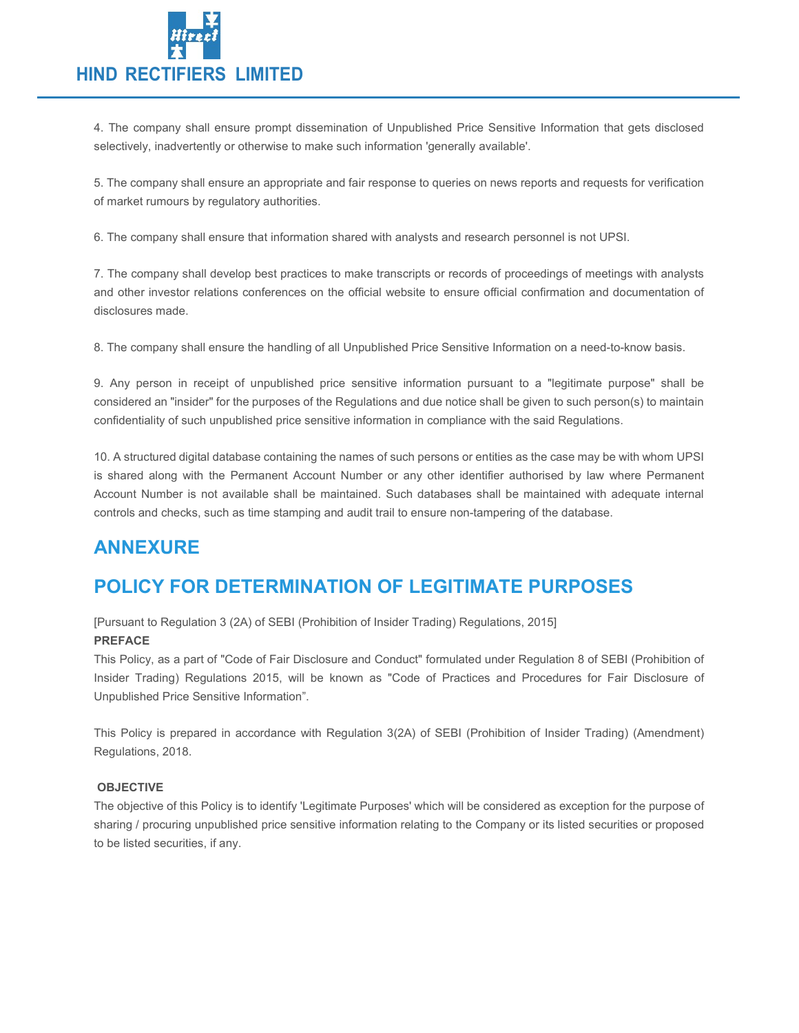

4. The company shall ensure prompt dissemination of Unpublished Price Sensitive Information that gets disclosed selectively, inadvertently or otherwise to make such information 'generally available'.

5. The company shall ensure an appropriate and fair response to queries on news reports and requests for verification of market rumours by regulatory authorities.

6. The company shall ensure that information shared with analysts and research personnel is not UPSI.

7. The company shall develop best practices to make transcripts or records of proceedings of meetings with analysts and other investor relations conferences on the official website to ensure official confirmation and documentation of disclosures made.

8. The company shall ensure the handling of all Unpublished Price Sensitive Information on a need-to-know basis.

9. Any person in receipt of unpublished price sensitive information pursuant to a "legitimate purpose" shall be considered an "insider" for the purposes of the Regulations and due notice shall be given to such person(s) to maintain confidentiality of such unpublished price sensitive information in compliance with the said Regulations.

10. A structured digital database containing the names of such persons or entities as the case may be with whom UPSI is shared along with the Permanent Account Number or any other identifier authorised by law where Permanent Account Number is not available shall be maintained. Such databases shall be maintained with adequate internal controls and checks, such as time stamping and audit trail to ensure non-tampering of the database.

## ANNEXURE

# POLICY FOR DETERMINATION OF LEGITIMATE PURPOSES

[Pursuant to Regulation 3 (2A) of SEBI (Prohibition of Insider Trading) Regulations, 2015] PREFACE

This Policy, as a part of "Code of Fair Disclosure and Conduct" formulated under Regulation 8 of SEBI (Prohibition of Insider Trading) Regulations 2015, will be known as "Code of Practices and Procedures for Fair Disclosure of Unpublished Price Sensitive Information".

This Policy is prepared in accordance with Regulation 3(2A) of SEBI (Prohibition of Insider Trading) (Amendment) Regulations, 2018.

### **OBJECTIVE**

The objective of this Policy is to identify 'Legitimate Purposes' which will be considered as exception for the purpose of sharing / procuring unpublished price sensitive information relating to the Company or its listed securities or proposed to be listed securities, if any.